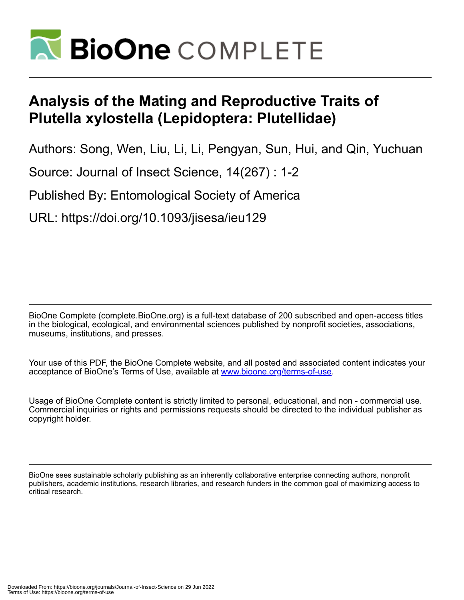

# **Analysis of the Mating and Reproductive Traits of Plutella xylostella (Lepidoptera: Plutellidae)**

Authors: Song, Wen, Liu, Li, Li, Pengyan, Sun, Hui, and Qin, Yuchuan

Source: Journal of Insect Science, 14(267) : 1-2

Published By: Entomological Society of America

URL: https://doi.org/10.1093/jisesa/ieu129

BioOne Complete (complete.BioOne.org) is a full-text database of 200 subscribed and open-access titles in the biological, ecological, and environmental sciences published by nonprofit societies, associations, museums, institutions, and presses.

Your use of this PDF, the BioOne Complete website, and all posted and associated content indicates your acceptance of BioOne's Terms of Use, available at www.bioone.org/terms-of-use.

Usage of BioOne Complete content is strictly limited to personal, educational, and non - commercial use. Commercial inquiries or rights and permissions requests should be directed to the individual publisher as copyright holder.

BioOne sees sustainable scholarly publishing as an inherently collaborative enterprise connecting authors, nonprofit publishers, academic institutions, research libraries, and research funders in the common goal of maximizing access to critical research.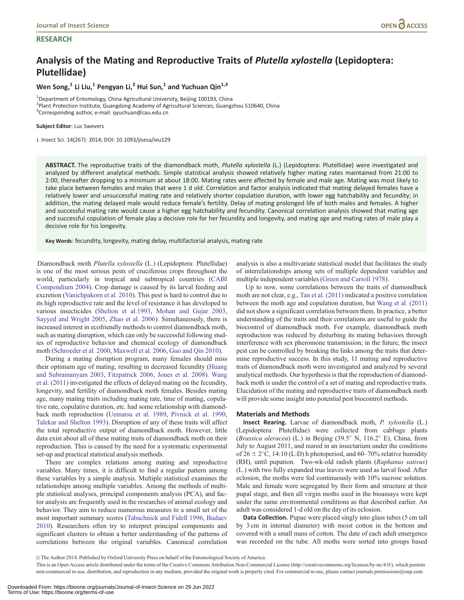# **RESEARCH**

# Analysis of the Mating and Reproductive Traits of Plutella xylostella (Lepidoptera: Plutellidae)

Wen Song,<sup>1</sup> Li Liu,<sup>1</sup> Pengyan Li,<sup>2</sup> Hui Sun,<sup>1</sup> and Yuchuan Qin<sup>1,3</sup>

<sup>1</sup>Department of Entomology, China Agricultural University, Beijing 100193, China 2 Plant Protection Institute, Guangdong Academy of Agricultural Sciences, Guangzhou 510640, China 3 Corresponding author, e-mail: qyuchuan@cau.edu.cn

Subject Editor: Luc Swevers

J. Insect Sci. 14(267): 2014; DOI: 10.1093/jisesa/ieu129

ABSTRACT. The reproductive traits of the diamondback moth, Plutella xylostella (L.) (Lepidoptera: Plutellidae) were investigated and analyzed by different analytical methods. Simple statistical analysis showed relatively higher mating rates maintained from 21:00 to 2:00, thereafter dropping to a minimum at about 18:00. Mating rates were affected by female and male age. Mating was most likely to take place between females and males that were 1 d old. Correlation and factor analysis indicated that mating delayed females have a relatively lower and unsuccessful mating rate and relatively shorter copulation duration, with lower egg hatchability and fecundity; in addition, the mating delayed male would reduce female's fertility. Delay of mating prolonged life of both males and females. A higher and successful mating rate would cause a higher egg hatchability and fecundity. Canonical correlation analysis showed that mating age and successful copulation of female play a decisive role for her fecundity and longevity, and mating age and mating rates of male play a decisive role for his longevity.

Key Words: fecundity, longevity, mating delay, multifactorial analysis, mating rate

Diamondback moth Plutella xylostella (L.) (Lepidoptera: Plutellidae) is one of the most serious pests of cruciferous crops throughout the world, particularly in tropical and subtropical countries ([CABI](#page-4-0) [Compendium 2004](#page-4-0)). Crop damage is caused by its larval feeding and excretion [\(Vanichpakorn et al](#page-5-0). 2010). This pest is hard to control due to its high reproductive rate and the level of resistance it has developed to various insecticides ([Shelton et al.1993,](#page-5-0) [Mohan and Gujar 2003,](#page-4-0) [Sayyed and Wright 2005](#page-5-0), [Zhao et al. 2006](#page-5-0)). Simultaneously, there is increased interest in ecofriendly methods to control diamondback moth, such as mating disruption, which can only be successful following studies of reproductive behavior and chemical ecology of diamondback moth [\(Schroeder et al](#page-5-0). 2000, [Maxwell et al](#page-4-0). 2006, [Guo and Qin 2010\)](#page-4-0).

During a mating disruption program, many females should miss their optimum age of mating, resulting in decreased fecundity [\(Huang](#page-4-0) [and Subramanyam 2003](#page-4-0), [Fitzpatrick 2006](#page-4-0), [Jones et al](#page-4-0). 2008). [Wang](#page-5-0) [et al. \(2011\)](#page-5-0) investigated the effects of delayed mating on the fecundity, longevity, and fertility of diamondback moth females. Besides mating age, many mating traits including mating rate, time of mating, copulative rate, copulative duration, etc. had some relationship with diamondback moth reproduction [\(Uematsu et al. 1989,](#page-5-0) [Pivnick et al. 1990,](#page-4-0) [Talekar and Shelton 1993\)](#page-5-0). Disruption of any of these traits will affect the total reproductive output of diamondback moth. However, little data exist about all of these mating traits of diamondback moth on their reproduction. This is caused by the need for a systematic experimental set-up and practical statistical analysis methods.

There are complex relations among mating and reproductive variables. Many times, it is difficult to find a regular pattern among these variables by a simple analysis. Multiple statistical examines the relationships among multiple variables. Among the methods of multiple statistical analyses, principal components analysis (PCA), and factor analysis are frequently used in the researches of animal ecology and behavior. They aim to reduce numerous measures to a small set of the most important summary scores ([Tabachnick and Fidell 1996,](#page-5-0) [Budaev](#page-4-0) [2010\)](#page-4-0). Researchers often try to interpret principal components and significant clusters to obtain a better understanding of the patterns of correlations between the original variables. Canonical correlation

analysis is also a multivariate statistical model that facilitates the study of interrelationships among sets of multiple dependent variables and multiple independent variables ([Green and Carroll 1978\)](#page-4-0).

Up to now, some correlations between the traits of diamondback moth are not clear, e.g., [Tan et al](#page-5-0). (2011) indicated a positive correlation between the moth age and copulation duration, but [Wang et al](#page-5-0). (2011) did not show a significant correlation between them. In practice, a better understanding of the traits and their correlations are useful to guide the biocontrol of diamondback moth. For example, diamondback moth reproduction was reduced by disturbing its mating behaviors through interference with sex pheromone transmission; in the future, the insect pest can be controlled by breaking the links among the traits that determine reproductive success. In this study, 11 mating and reproductive traits of diamondback moth were investigated and analyzed by several analytical methods. Our hypothesis is that the reproduction of diamondback moth is under the control of a set of mating and reproductive traits. Elucidation of the mating and reproductive traits of diamondback moth will provide some insight into potential pest biocontrol methods.

## Materials and Methods

Insect Rearing. Larvae of diamondback moth, P. xylostella (L.) (Lepidoptera: Plutellidae) were collected from cabbage plants (Brassica oleracea) (L.) in Beijing (39.5° N, 116.2° E), China, from July to August 2011, and reared in an insectarium under the conditions of  $26 \pm 2$ °C, 14:10 (L:D) h photoperiod, and 60–70% relative humidity (RH), until pupation. Two-wk-old radish plants (Raphanus sativus) (L.) with two fully expanded true leaves were used as larval food. After eclosion, the moths were fed continuously with 10% sucrose solution. Male and female were segregated by their form and structure at their pupal stage, and then all virgin moths used in the bioassays were kept under the same environmental conditions as that described earlier. An adult was considered 1-d old on the day of its eclosion.

Data Collection. Pupae were placed singly into glass tubes (5 cm tall by 3 cm in internal diameter) with moist cotton in the bottom and covered with a small mass of cotton. The date of each adult emergence was recorded on the tube. All moths were sorted into groups based

V<sup>C</sup> The Author 2014. Published by Oxford University Press on behalf of the Entomological Society of America.

This is an Open Access article distributed under the terms of the Creative Commons Attribution Non-Commercial License (http://creativecommons.org/licenses/by-nc/4.0/), which permits non-commercial re-use, distribution, and reproduction in any medium, provided the original work is properly cited. For commercial re-use, please contact journals.permissions@oup.com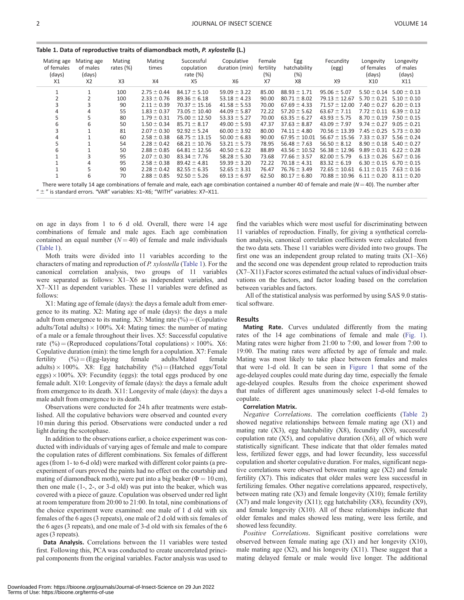| Mating age<br>of females<br>(days)<br>X1                                                                                                                                                                                                   | Mating age<br>of males<br>(days)<br>X2 | Mating<br>rates $(\%)$<br>X <sub>3</sub> | Mating<br>times<br>X4 | Successful<br>copulation<br>rate $(\%)$<br>X <sub>5</sub> | Copulative<br>duration (min)<br>X6 | Female<br>fertility<br>(%)<br>X7 | Egg<br>hatchability<br>$(\%)$<br>X8 | Fecundity<br>(egg)<br>X9 | Longevity<br>of females<br>(days)<br>X10 | Longevity<br>of males<br>(days)<br>X11 |
|--------------------------------------------------------------------------------------------------------------------------------------------------------------------------------------------------------------------------------------------|----------------------------------------|------------------------------------------|-----------------------|-----------------------------------------------------------|------------------------------------|----------------------------------|-------------------------------------|--------------------------|------------------------------------------|----------------------------------------|
|                                                                                                                                                                                                                                            |                                        | 100                                      | $2.75 \pm 0.44$       | $84.17 \pm 5.10$                                          | $59.09 \pm 3.22$                   | 85.00                            | $88.93 \pm 1.71$                    | $95.06 \pm 5.07$         | $5.50 \pm 0.14$                          | $5.00 \pm 0.13$                        |
| 2                                                                                                                                                                                                                                          |                                        | 100                                      | $2.33 \pm 0.76$       | $89.36 \pm 6.18$                                          | 53.18 $\pm$ 4.23                   | 90.00                            | $80.71 \pm 8.02$                    | $79.13 \pm 12.67$        | $5.70 \pm 0.21$                          | $5.10 \pm 0.10$                        |
| 3                                                                                                                                                                                                                                          | 3                                      | 90                                       | $2.11 \pm 0.39$       | $70.37 \pm 15.16$                                         | $41.58 \pm 5.53$                   | 70.00                            | $67.69 \pm 4.33$                    | $71.57 \pm 12.00$        | $7.40 \pm 0.27$                          | $6.20 \pm 0.13$                        |
|                                                                                                                                                                                                                                            | 4                                      | 55                                       | $1.83 \pm 0.37$       | $73.05 \pm 10.40$                                         | $44.09 \pm 5.87$                   | 72.22                            | $57.20 \pm 5.62$                    | $63.67 \pm 7.11$         | $7.72 \pm 0.11$                          | $6.39 \pm 0.12$                        |
| Ь                                                                                                                                                                                                                                          | 5                                      | 80                                       | $1.79 \pm 0.31$       | $75.00 \pm 12.50$                                         | $53.33 \pm 5.27$                   | 70.00                            | $63.35 \pm 6.27$                    | $43.93 \pm 5.75$         | $8.70 \pm 0.19$                          | $7.50 \pm 0.15$                        |
| 6                                                                                                                                                                                                                                          | 6                                      | 50                                       | $1.50 \pm 0.34$       | $85.71 \pm 8.17$                                          | 49.00 $\pm$ 5.93                   | 47.37                            | $37.63 \pm 8.87$                    | $43.09 \pm 7.97$         | $9.74 \pm 0.27$                          | $9.05 \pm 0.21$                        |
| 3                                                                                                                                                                                                                                          |                                        | 81                                       | $2.07 \pm 0.30$       | $92.92 \pm 5.24$                                          | $60.00 \pm 3.92$                   | 80.00                            | $74.11 \pm 4.80$                    | $70.56 \pm 13.39$        | $7.45 \pm 0.25$                          | $5.73 \pm 0.30$                        |
| 4                                                                                                                                                                                                                                          |                                        | 60                                       | $2.58 \pm 0.38$       | $68.75 \pm 13.15$                                         | $50.00 \pm 6.83$                   | 90.00                            | $67.95 \pm 10.01$                   | $56.67 \pm 15.56$        | $7.33 \pm 0.37$                          | $5.56 \pm 0.24$                        |
| 5                                                                                                                                                                                                                                          |                                        | 54                                       | $2.28 \pm 0.42$       | $68.21 \pm 10.76$                                         | $53.21 \pm 5.73$                   | 78.95                            | 56.48 $\pm$ 7.63                    | $56.50 \pm 8.12$         | $8.90 \pm 0.18$                          | $5.40 \pm 0.27$                        |
| b                                                                                                                                                                                                                                          |                                        | 50                                       | $2.88 \pm 0.85$       | $64.81 \pm 12.56$                                         | $40.50 \pm 6.22$                   | 88.89                            | $43.56 \pm 10.52$                   | $56.38 \pm 12.96$        | $9.89 \pm 0.31$                          | $6.22 \pm 0.28$                        |
|                                                                                                                                                                                                                                            |                                        | 95                                       | $2.07 \pm 0.30$       | $83.34 \pm 7.76$                                          | 58.28 $\pm$ 5.30                   | 73.68                            | $77.66 \pm 3.57$                    | $82.00 \pm 5.79$         | $6.13 \pm 0.26$                          | $5.67 \pm 0.16$                        |
|                                                                                                                                                                                                                                            | 4                                      | 95                                       | $2.58 \pm 0.38$       | $89.42 \pm 4.81$                                          | 59.39 $\pm$ 3.20                   | 72.22                            | $70.18 \pm 4.31$                    | $83.32 \pm 6.19$         | $6.30 \pm 0.15$                          | $6.70 \pm 0.15$                        |
|                                                                                                                                                                                                                                            | 5                                      | 90                                       | $2.28 \pm 0.42$       | $82.55 \pm 6.35$                                          | $52.65 \pm 3.31$                   | 76.47                            | $76.76 \pm 3.49$                    | $72.65 \pm 10.61$        | $6.11 \pm 0.15$                          | $7.63 \pm 0.16$                        |
|                                                                                                                                                                                                                                            | 6                                      | 70                                       | $2.88 \pm 0.85$       | $92.50 \pm 5.26$                                          | $69.13 \pm 6.97$                   | 62.50                            | $80.17 \pm 6.80$                    | $70.88 \pm 10.96$        | $6.11 \pm 0.20$                          | $8.11 \pm 0.20$                        |
| There were totally 14 age combinations of female and male, each age combination contained a number 40 of female and male ( $N = 40$ ). The number after<br>" $\pm$ " is standard errors. "VAR" variables: X1-X6: "WITH" variables: X7-X11. |                                        |                                          |                       |                                                           |                                    |                                  |                                     |                          |                                          |                                        |

Table 1. Data of reproductive traits of diamondback moth, P. xylostella (L.)

on age in days from 1 to 6 d old. Overall, there were 14 age combinations of female and male ages. Each age combination contained an equal number  $(N = 40)$  of female and male individuals (Table 1).

Moth traits were divided into 11 variables according to the characters of mating and reproduction of P. xylostella (Table 1). For the canonical correlation analysis, two groups of 11 variables were separated as follows: X1–X6 as independent variables, and X7–X11 as dependent variables. These 11 variables were defined as follows:

X1: Mating age of female (days): the days a female adult from emergence to its mating. X2: Mating age of male (days): the days a male adult from emergence to its mating. X3: Mating rate  $(\%)$  = (Copulative adults/Total adults)  $\times$  100%. X4: Mating times: the number of mating of a male or a female throughout their lives. X5: Successful copulative rate (%) = (Reproduced copulations/Total copulations)  $\times$  100%. X6: Copulative duration (min): the time length for a copulation. X7: Female fertility  $(^{0}_{0}) = (Egg-laying$  female adults/Mated female adults)  $\times$  100%. X8: Egg hatchability (%) = (Hatched eggs/Total eggs)  $\times 100\%$ . X9: Fecundity (eggs): the total eggs produced by one female adult. X10: Longevity of female (days): the days a female adult from emergence to its death. X11: Longevity of male (days): the days a male adult from emergence to its death.

Observations were conducted for 24 h after treatments were established. All the copulative behaviors were observed and counted every 10 min during this period. Observations were conducted under a red light during the scotophase.

In addition to the observations earlier, a choice experiment was conducted with individuals of varying ages of female and male to compare the copulation rates of different combinations. Six females of different ages (from 1- to 6-d old) were marked with different color paints (a preexperiment of ours proved the paints had no effect on the courtship and mating of diamondback moth), were put into a big beaker ( $\Phi = 10$  cm), then one male (1-, 2-, or 3-d old) was put into the beaker, which was covered with a piece of gauze. Copulation was observed under red light at room temperature from 20:00 to 21:00. In total, nine combinations of the choice experiment were examined: one male of 1 d old with six females of the 6 ages (3 repeats), one male of 2 d old with six females of the 6 ages (3 repeats), and one male of 3-d old with six females of the 6 ages (3 repeats).

Data Analysis. Correlations between the 11 variables were tested first. Following this, PCA was conducted to create uncorrelated principal components from the original variables. Factor analysis was used to find the variables which were most useful for discriminating between 11 variables of reproduction. Finally, for giving a synthetical correlation analysis, canonical correlation coefficients were calculated from the two data sets. These 11 variables were divided into two groups. The first one was an independent group related to mating traits  $(X1-X6)$ and the second one was dependent group related to reproduction traits (X7–X11).Factor scores estimated the actual values of individual observations on the factors, and factor loading based on the correlation between variables and factors.

All of the statistical analysis was performed by using SAS 9.0 statistical software.

#### Results

Mating Rate. Curves undulated differently from the mating rates of the 14 age combinations of female and male ([Fig. 1\)](#page-3-0). Mating rates were higher from 21:00 to 7:00, and lower from 7:00 to 19:00. The mating rates were affected by age of female and male. Mating was most likely to take place between females and males that were 1-d old. It can be seen in [Figure 1](#page-3-0) that some of the age-delayed couples could mate during day time, especially the female age-delayed couples. Results from the choice experiment showed that males of different ages unanimously select 1-d-old females to copulate.

# Correlation Matrix.

Negative Correlations. The correlation coefficients [\(Table 2](#page-3-0)) showed negative relationships between female mating age (X1) and mating rate (X3), egg hatchability (X8), fecundity (X9), successful copulation rate  $(X5)$ , and copulative duration  $(X6)$ , all of which were statistically significant. These indicate that that older females mated less, fertilized fewer eggs, and had lower fecundity, less successful copulation and shorter copulative duration. For males, significant negative correlations were observed between mating age (X2) and female fertility (X7). This indicates that older males were less successful in fertilizing females. Other negative correlations appeared, respectively, between mating rate  $(X3)$  and female longevity  $(X10)$ ; female fertility  $(X7)$  and male longevity  $(X11)$ ; egg hatchability  $(X8)$ , fecundity  $(X9)$ , and female longevity (X10). All of these relationships indicate that older females and males showed less mating, were less fertile, and showed less fecundity.

Positive Correlations. Significant positive correlations were observed between female mating age (X1) and her longevity (X10), male mating age  $(X2)$ , and his longevity  $(X11)$ . These suggest that a mating delayed female or male would live longer. The additional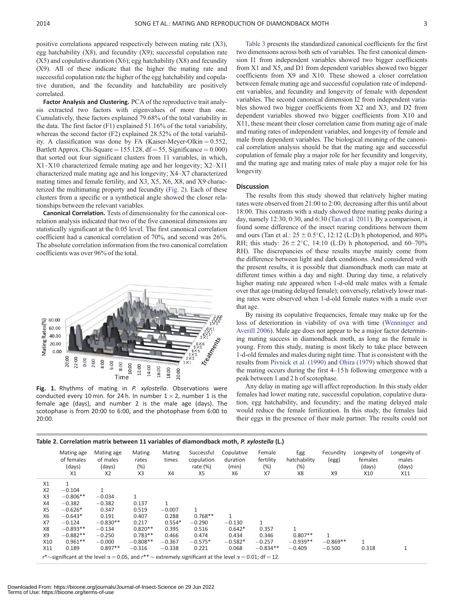<span id="page-3-0"></span>positive correlations appeared respectively between mating rate (X3), egg hatchability (X8), and fecundity (X9); successful copulation rate  $(X5)$  and copulative duration  $(X6)$ ; egg hatchability  $(X8)$  and fecundity (X9). All of these indicate that the higher the mating rate and successful copulation rate the higher of the egg hatchability and copulative duration, and the fecundity and hatchability are positively correlated.

Factor Analysis and Clustering. PCA of the reproductive trait analysis extracted two factors with eigenvalues of more than one. Cumulatively, these factors explained 79.68% of the total variability in the data. The first factor (F1) explained 51.16% of the total variability, whereas the second factor (F2) explained 28.52% of the total variability. A classification was done by FA (Kaiser-Meyer-Olkin  $= 0.552$ , Bartlett Approx. Chi-Square =  $155.128$ , df =  $55$ , Significance = 0.000) that sorted out four significant clusters from 11 variables, in which, X1–X10 characterized female mating age and her longevity; X2–X11 characterized male mating age and his longevity; X4–X7 characterized mating times and female fertility, and X3, X5, X6, X8, and X9 characterized the multimating property and fecundity [\(Fig. 2](#page-4-0)). Each of these clusters from a specific or a synthetical angle showed the closer relationships between the relevant variables.

Canonical Correlation. Tests of dimensionality for the canonical correlation analysis indicated that two of the five canonical dimensions are statistically significant at the 0.05 level. The first canonical correlation coefficient had a canonical correlation of 70%, and second was 26%. The absolute correlation information from the two canonical correlation coefficients was over 96% of the total.



Fig. 1. Rhythms of mating in P. xylostella. Observations were conducted every 10 min. for 24 h. In number  $1 \times 2$ , number 1 is the female age (days), and number 2 is the male age (days). The scotophase is from 20:00 to 6:00, and the photophase from 6:00 to 20:00.

[Table 3](#page-4-0) presents the standardized canonical coefficients for the first two dimensions across both sets of variables. The first canonical dimension I1 from independent variables showed two bigger coefficients from X1 and X5, and D1 from dependent variables showed two bigger coefficients from X9 and X10. These showed a closer correlation between female mating age and successful copulation rate of independent variables, and fecundity and longevity of female with dependent variables. The second canonical dimension I2 from independent variables showed two bigger coefficients from X2 and X3, and D2 from dependent variables showed two bigger coefficients from X10 and X11, these meant their closer correlation came from mating age of male and mating rates of independent variables, and longevity of female and male from dependent variables. The biological meaning of the canonical correlation analysis should be that the mating age and successful copulation of female play a major role for her fecundity and longevity, and the mating age and mating rates of male play a major role for his longevity.

# **Discussion**

The results from this study showed that relatively higher mating rates were observed from 21:00 to 2:00, decreasing after this until about 18:00. This contrasts with a study showed three mating peaks during a day, namely 12:30, 0:30, and 6:30 ([Tan et al](#page-5-0). 2011). By a comparison, it found some difference of the insect rearing conditions between them and ours (Tan et al.:  $25 \pm 0.5^{\circ}$ C, 12:12 (L:D) h photoperiod, and 80% RH; this study:  $26 \pm 2^{\circ}$ C, 14:10 (L:D) h photoperiod, and 60-70% RH). The discrepancies of these results maybe mainly come from the difference between light and dark conditions. And considered with the present results, it is possible that diamondback moth can mate at different times within a day and night. During day time, a relatively higher mating rate appeared when 1-d-old male mates with a female over that age (mating delayed female); conversely, relatively lower mating rates were observed when 1-d-old female mates with a male over that age.

By raising its copulative frequencies, female may make up for the loss of deterioration in viability of ova with time ([Wenninger and](#page-5-0) [Averill 2006\)](#page-5-0). Male age does not appear to be a major factor determining mating success in diamondback moth, as long as the female is young. From this study, mating is most likely to take place between 1-d-old females and males during night time. That is consistent with the results from [Pivnick et al. \(1990\)](#page-4-0) and [Ohira \(1979\)](#page-4-0) which showed that the mating occurs during the first 4–15 h following emergence with a peak between 1 and 2 h of scotophase.

Any delay in mating age will affect reproduction. In this study older females had lower mating rate, successful copulation, copulative duration, egg hatchability, and fecundity; and the mating delayed male would reduce the female fertilization. In this study, the females laid their eggs in the presence of their male partner. The results could not

| Table 2. Correlation matrix between 11 variables of diamondback moth, P. xylostella (L.) |  |  |
|------------------------------------------------------------------------------------------|--|--|
|------------------------------------------------------------------------------------------|--|--|

|                | Mating age<br>of females<br>(days)<br>X1 | Mating age<br>of males<br>(days)<br>X <sub>2</sub>                                                                              | Mating<br>rates<br>(%)<br>X3 | Mating<br>times<br>X4 | Successful<br>copulation<br>rate $(\%)$<br>X <sub>5</sub> | Copulative<br>duration<br>(min)<br>X6 | Female<br>fertility<br>$(\%)$<br>X7 | Egg<br>hatchability<br>$(\%)$<br>X8 | Fecundity<br>(egg)<br>X9 | Longevity of<br>females<br>(days)<br>X10 | Longevity of<br>males<br>(days)<br>X11 |
|----------------|------------------------------------------|---------------------------------------------------------------------------------------------------------------------------------|------------------------------|-----------------------|-----------------------------------------------------------|---------------------------------------|-------------------------------------|-------------------------------------|--------------------------|------------------------------------------|----------------------------------------|
| X1             | $\mathbf{1}$                             |                                                                                                                                 |                              |                       |                                                           |                                       |                                     |                                     |                          |                                          |                                        |
| X <sub>2</sub> | $-0.104$                                 | 1                                                                                                                               |                              |                       |                                                           |                                       |                                     |                                     |                          |                                          |                                        |
| X <sub>3</sub> | $-0.806**$                               | $-0.034$                                                                                                                        |                              |                       |                                                           |                                       |                                     |                                     |                          |                                          |                                        |
| X4             | $-0.382$                                 | $-0.382$                                                                                                                        | 0.137                        |                       |                                                           |                                       |                                     |                                     |                          |                                          |                                        |
| X <sub>5</sub> | $-0.626*$                                | 0.347                                                                                                                           | 0.519                        | $-0.007$              | $\mathbf{1}$                                              |                                       |                                     |                                     |                          |                                          |                                        |
| X6             | $-0.643*$                                | 0.191                                                                                                                           | 0.407                        | 0.288                 | $0.768**$                                                 | 1                                     |                                     |                                     |                          |                                          |                                        |
| <b>X7</b>      | $-0.124$                                 | $-0.830**$                                                                                                                      | 0.217                        | $0.554*$              | $-0.290$                                                  | $-0.130$                              | $\mathbf{1}$                        |                                     |                          |                                          |                                        |
| X8             | $-0.893**$                               | $-0.134$                                                                                                                        | $0.820**$                    | 0.395                 | 0.516                                                     | $0.642*$                              | 0.357                               |                                     |                          |                                          |                                        |
| X9             | $-0.882**$                               | $-0.250$                                                                                                                        | $0.783**$                    | 0.466                 | 0.474                                                     | 0.434                                 | 0.346                               | $0.807**$                           | $\mathbf{1}$             |                                          |                                        |
| X10            | $0.961**$                                | $-0.000$                                                                                                                        | $-0.808**$                   | $-0.367$              | $-0.575*$                                                 | $-0.582*$                             | $-0.257$                            | $-0.939**$                          | $-0.869**$               | $\mathbf{1}$                             |                                        |
| X11            | 0.189                                    | $0.897**$                                                                                                                       | $-0.316$                     | $-0.338$              | 0.221                                                     | 0.068                                 | $-0.834**$                          | $-0.409$                            | $-0.500$                 | 0.318                                    |                                        |
|                |                                          | r* $\sim$ significant at the level $\alpha$ = 0.05, and r** $\sim$ extremely significant at the level $\alpha$ = 0.01; df = 12. |                              |                       |                                                           |                                       |                                     |                                     |                          |                                          |                                        |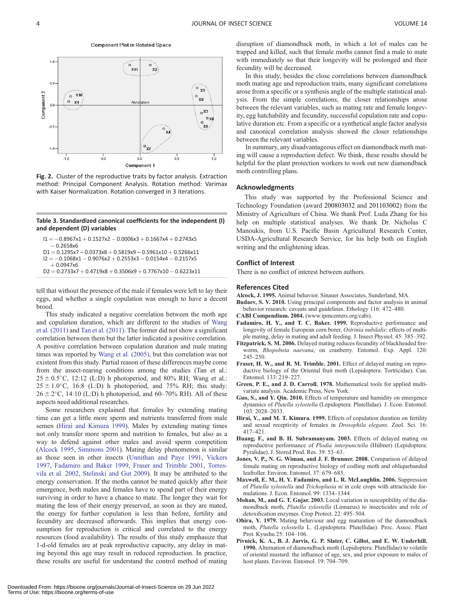#### **Component Plot in Rotated Space**

<span id="page-4-0"></span>

Fig. 2. Cluster of the reproductive traits by factor analysis. Extraction method: Principal Component Analysis. Rotation method: Varimax with Kaiser Normalization. Rotation converged in 3 iterations.

### Table 3. Standardized canonical coefficients for the independent (I) and dependent (D) variables

| $11 = -0.8967x1 + 0.1527x2 - 0.0006x3 + 0.1667x4 + 0.2743x5$  |
|---------------------------------------------------------------|
| $-0.2658x6$                                                   |
| $D1 = 0.1295x7 - 0.0373x8 + 0.5819x9 - 0.5961x10 + 0.5266x11$ |
| $12 = -0.1068x1 - 0.9076x2 + 0.2553x3 - 0.0154x4 - 0.2157x5$  |
| $+0.0947x6$                                                   |
| $D2 = 0.2733x7 + 0.4719x8 + 0.3506x9 + 0.7767x10 - 0.6223x11$ |

tell that without the presence of the male if females were left to lay their eggs, and whether a single copulation was enough to have a decent brood.

This study indicated a negative correlation between the moth age and copulation duration, which are different to the studies of [Wang](#page-5-0) et al. [\(2011\)](#page-5-0) and [Tan et al](#page-5-0). (2011). The former did not show a significant correlation between them but the latter indicated a positive correlation. A positive correlation between copulation duration and male mating times was reported by [Wang et al. \(2005\),](#page-5-0) but this correlation was not existent from this study. Partial reason of these differences maybe come from the insect-rearing conditions among the studies (Tan et al.:  $25 \pm 0.5^{\circ}$ C, 12:12 (L:D) h photoperiod, and 80% RH; Wang et al.:  $25 \pm 1.0^{\circ}$ C, 16:8 (L:D) h photoperiod, and 75% RH; this study:  $26 \pm 2$ °C, 14:10 (L:D) h photoperiod, and 60–70% RH). All of these aspects need additional researches.

Some researchers explained that females by extending mating time can get a little more sperm and nutrients transferred from male semen (Hirai and Kimura 1999). Males by extending mating times not only transfer more sperm and nutrition to females, but also as a way to defend against other males and avoid sperm competition (Alcock 1995, [Simmons 2001\)](#page-5-0). Mating delay phenomenon is similar as those seen in other insects [\(Unnithan and Paye 1991,](#page-5-0) [Vickers](#page-5-0) [1997,](#page-5-0) Fadamiro and Baker 1999, Fraser and Trimble 2001, [Torres](#page-5-0)[vila et al](#page-5-0). 2002, [Stelinski and Gut 2009\)](#page-5-0). It may be attributed to the energy conservation. If the moths cannot be mated quickly after their emergence, both males and females have to spend part of their energy surviving in order to have a chance to mate. The longer they wait for mating the less of their energy preserved, as soon as they are mated, the energy for further copulation is less than before, fertility and fecundity are decreased afterwards. This implies that energy consumption for reproduction is critical and correlated to the energy resources (food availability). The results of this study emphasize that 1-d-old females are at peak reproductive capacity, any delay in mating beyond this age may result in reduced reproduction. In practice, these results are useful for understand the control method of mating

disruption of diamondback moth, in which a lot of males can be trapped and killed, such that female moths cannot find a male to mate with immediately so that their longevity will be prolonged and their fecundity will be decreased.

In this study, besides the close correlations between diamondback moth mating age and reproduction traits, many significant correlations arose from a specific or a synthesis angle of the multiple statistical analysis. From the simple correlations, the closer relationships arose between the relevant variables, such as mating rate and female longevity, egg hatchability and fecundity, successful copulation rate and copulative duration etc. From a specific or a synthetical angle factor analysis and canonical correlation analysis showed the closer relationships between the relevant variables.

In summary, any disadvantageous effect on diamondback moth mating will cause a reproduction defect. We think, these results should be helpful for the plant protection workers to work out new diamondback moth controlling plans.

#### Acknowledgments

This study was supported by the Professional Science and Technology Foundation (award 200803032 and 201103002) from the Ministry of Agriculture of China. We thank Prof. Luda Zhang for his help on multiple statistical analyses. We thank Dr. Nicholas C Manoukis, from U.S. Pacific Basin Agricultural Research Center, USDA-Agricultural Research Service, for his help both on English writing and the enlightening ideas.

# Conflict of Interest

There is no conflict of interest between authors.

### References Cited

- Alcock, J. 1995. Animal behavior. Sinauer Associates, Sunderland, MA.
- Budaev, S. V. 2010. Using principal components and factor analysis in animal behavior research: caveats and guidelines. Ethology 116: 472–480.
- CABI Compendium. 2004. ([www.ipmcenters.org/cabi\)](www.ipmcenters.org/cabi).
- Fadamiro, H. Y., and T. C. Baker. 1999. Reproductive performance and longevity of female European corn borer, Ostrinia nubilalis: effects of multiple mating, delay in mating and adult feeding. J. Insect Physiol. 45: 385–392.
- Fitzpatrick, S. M. 2006. Delayed mating reduces fecundity of blackheaded fireworm, Rhopobota naevana, on cranberry. Entomol. Exp. Appl. 120: 245–250.
- Fraser, H. W., and R. M. Trimble. 2001. Effect of delayed mating on reproductive biology of the Oriental fruit moth (Lepidoptera: Tortricidae). Can. Entomol. 133: 219–227.
- Green, P. E., and J. D. Carroll. 1978. Mathematical tools for applied multivariate analysis. Academic Press, New York.
- Guo, S., and Y. Qin. 2010. Effects of temperature and humidity on emergence dynamics of Plutella xylostella (Lepidoptera: Plutellidae). J. Econ. Entomol. 103: 2028–2033.
- Hirai, Y., and M. T. Kimura. 1999. Effects of copulation duration on fertility and sexual receptivity of females in Drosophila elegans. Zool. Sci. 16: 417–421.
- Huang, F., and B. H. Subramanyam. 2003. Effects of delayed mating on reproductive performance of Plodia interpunctella (Húbner) (Lepidoptera: Pyralidae). J. Stored Prod. Res. 39: 53–63.
- Jones, V. P., N. G. Wiman, and J. F. Brunner. 2008. Comparison of delayed female mating on reproductive biology of codling moth and obliquebanded leafroller. Environ. Entomol. 37: 679–685.
- Maxwell, E. M., H. Y. Fadamiro, and L. R. McLaughlin. 2006. Suppression of Plutella xylostella and Trichoplusia ni in cole crops with attracticide formulations. J. Econ. Entomol. 99: 1334–1344.
- Mohan, M., and G. T. Gujar. 2003. Local variation in susceptibility of the diamondback moth, Plutella xylostella (Linnaeus) to insecticides and role of detoxification enzymes. Crop Protect. 22: 495–504.
- Ohira, Y. 1979. Mating behaviour and egg maturation of the diamondback moth, Plutella xylostella L. (Lepidoptera: Plutellidae). Proc. Assoc. Plant Prot. Kyushu 25: 104–106.
- Pivnick, K. A., B. J. Jarvis, G. P. Slater, C. Gillot, and E. W. Underhill. 1990. Alternation of diamondback moth (Lepidoptera: Plutellidae) to volatile of oriental mustard: the influence of age, sex, and prior exposure to males of host plants. Environ. Entomol. 19: 704–709.